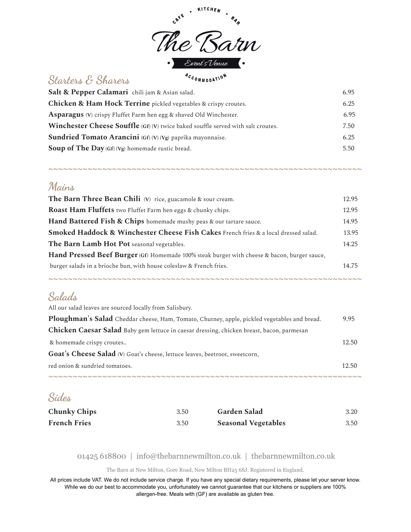

# **Starters & Sharers**

| Salt & Pepper Calamari chili jam & Asian salad.                                         | 6.95 |
|-----------------------------------------------------------------------------------------|------|
| <b>Chicken &amp; Ham Hock Terrine</b> pickled vegetables & crispy croutes.              | 6.25 |
| Asparagus (V) crispy Fluffet Farm hen egg & shaved Old Winchester.                      | 6.95 |
| <b>Winchester Cheese Souffle</b> (Gf) (V) twice baked souffle served with salt croutes. | 7.50 |
| Sundried Tomato Arancini (Gf) (V) (Vg) paprika mayonnaise.                              | 6.25 |
| Soup of The Day (Gf) (Vg) homemade rustic bread.                                        | 5.50 |
|                                                                                         |      |

*~~~~~~~~~~~~~~~~~~~~~~~~~~~~~~~~~~~~~~~~~~~~~~~~~~~~~~~~~~~~~~~~*

#### **Mains**

| The Barn Three Bean Chili (V) rice, guacamole & sour cream.                                        | 12.95 |
|----------------------------------------------------------------------------------------------------|-------|
| Roast Ham Fluffets two Fluffet Farm hen eggs & chunky chips.                                       | 12.95 |
| Hand Battered Fish & Chips homemade mushy peas & our tartare sauce.                                | 14.95 |
| <b>Smoked Haddock &amp; Winchester Cheese Fish Cakes French fries &amp; a local dressed salad.</b> | 13.95 |
| The Barn Lamb Hot Pot seasonal vegetables.                                                         | 14.25 |
| Hand Pressed Beef Burger (Gf) Homemade 100% steak burger with cheese & bacon, burger sauce,        |       |
| burger salads in a brioche bun, with house coleslaw & French fries.                                | 14.75 |
|                                                                                                    |       |

*~~~~~~~~~~~~~~~~~~~~~~~~~~~~~~~~~~~~~~~~~~~~~~~~~~~~~~~~~~~~~~~~*

### **Salads**

| All our salad leaves are sourced locally from Salisbury.                                     |       |
|----------------------------------------------------------------------------------------------|-------|
| Ploughman's Salad Cheddar cheese, Ham, Tomato, Chutney, apple, pickled vegetables and bread. | 9.95  |
| Chicken Caesar Salad Baby gem lettuce in caesar dressing, chicken breast, bacon, parmesan    |       |
| & homemade crispy croutes                                                                    | 12.50 |
| <b>Goat's Cheese Salad</b> (V) Goat's cheese, lettuce leaves, beetroot, sweetcorn,           |       |
| red onion & sundried tomatoes.                                                               | 12.50 |
|                                                                                              |       |

## **Sides**

| <b>Chunky Chips</b> | 3.50 | <b>Garden Salad</b>        | 3.20 |
|---------------------|------|----------------------------|------|
| <b>French Fries</b> | 3.50 | <b>Seasonal Vegetables</b> | 3.50 |

#### 01425 618800 | info@thebarnnewmilton.co.uk | thebarnnewmilton.co.uk

The Barn at New Milton, Gore Road, New Milton BH25 6SJ. Registered in England.

All prices include VAT. We do not include service charge. If you have any special dietary requirements, please let your server know. While we do our best to accommodate you, unfortunately we cannot guarantee that our kitchens or suppliers are 100% allergen-free. Meals with (GF) are available as gluten free.